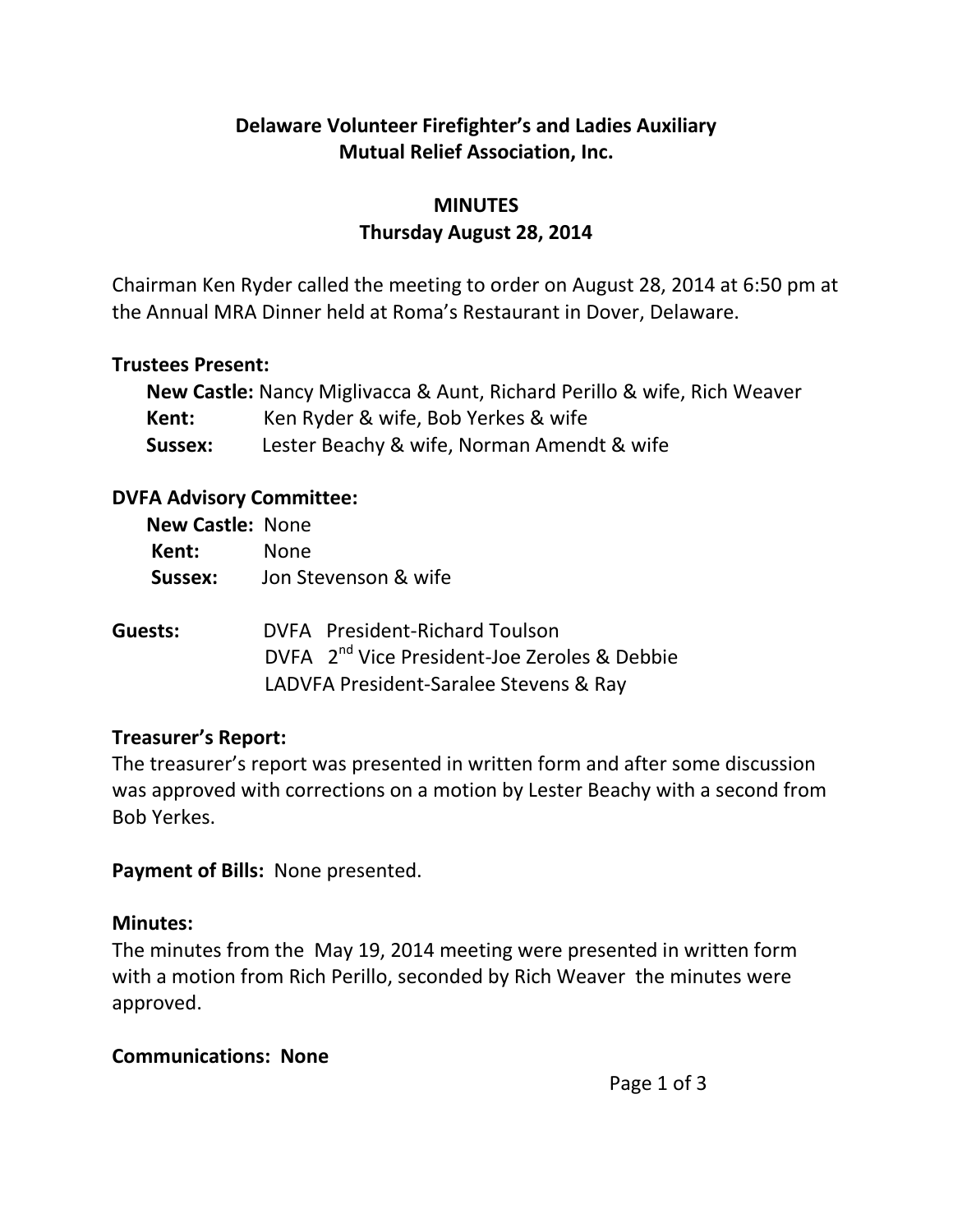# **Delaware Volunteer Firefighter's and Ladies Auxiliary Mutual Relief Association, Inc.**

# **MINUTES Thursday August 28, 2014**

Chairman Ken Ryder called the meeting to order on August 28, 2014 at 6:50 pm at the Annual MRA Dinner held at Roma's Restaurant in Dover, Delaware.

### **Trustees Present:**

|         | <b>New Castle:</b> Nancy Miglivacca & Aunt, Richard Perillo & wife, Rich Weaver |
|---------|---------------------------------------------------------------------------------|
| Kent:   | Ken Ryder & wife, Bob Yerkes & wife                                             |
| Sussex: | Lester Beachy & wife, Norman Amendt & wife                                      |

### **DVFA Advisory Committee:**

| <b>New Castle: None</b> |                                                                                                                                      |
|-------------------------|--------------------------------------------------------------------------------------------------------------------------------------|
| Kent:                   | <b>None</b>                                                                                                                          |
| Sussex:                 | Jon Stevenson & wife                                                                                                                 |
| Guests:                 | DVFA President-Richard Toulson<br>DVFA 2 <sup>nd</sup> Vice President-Joe Zeroles & Debbie<br>LADVFA President-Saralee Stevens & Ray |

## **Treasurer's Report:**

The treasurer's report was presented in written form and after some discussion was approved with corrections on a motion by Lester Beachy with a second from Bob Yerkes.

**Payment of Bills:** None presented.

## **Minutes:**

The minutes from the May 19, 2014 meeting were presented in written form with a motion from Rich Perillo, seconded by Rich Weaver the minutes were approved.

## **Communications: None**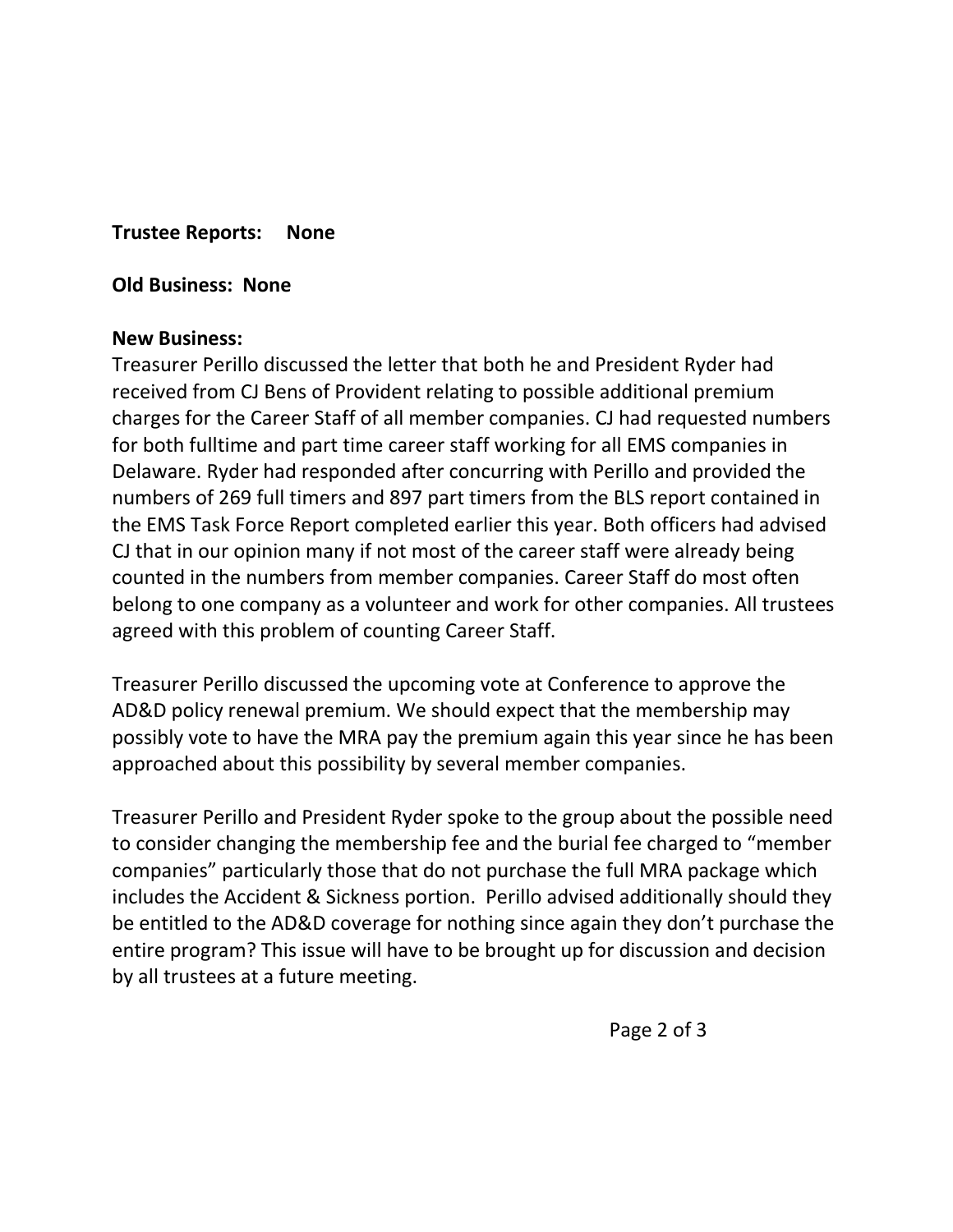**Trustee Reports: None**

**Old Business: None**

#### **New Business:**

Treasurer Perillo discussed the letter that both he and President Ryder had received from CJ Bens of Provident relating to possible additional premium charges for the Career Staff of all member companies. CJ had requested numbers for both fulltime and part time career staff working for all EMS companies in Delaware. Ryder had responded after concurring with Perillo and provided the numbers of 269 full timers and 897 part timers from the BLS report contained in the EMS Task Force Report completed earlier this year. Both officers had advised CJ that in our opinion many if not most of the career staff were already being counted in the numbers from member companies. Career Staff do most often belong to one company as a volunteer and work for other companies. All trustees agreed with this problem of counting Career Staff.

Treasurer Perillo discussed the upcoming vote at Conference to approve the AD&D policy renewal premium. We should expect that the membership may possibly vote to have the MRA pay the premium again this year since he has been approached about this possibility by several member companies.

Treasurer Perillo and President Ryder spoke to the group about the possible need to consider changing the membership fee and the burial fee charged to "member companies" particularly those that do not purchase the full MRA package which includes the Accident & Sickness portion. Perillo advised additionally should they be entitled to the AD&D coverage for nothing since again they don't purchase the entire program? This issue will have to be brought up for discussion and decision by all trustees at a future meeting.

Page 2 of 3